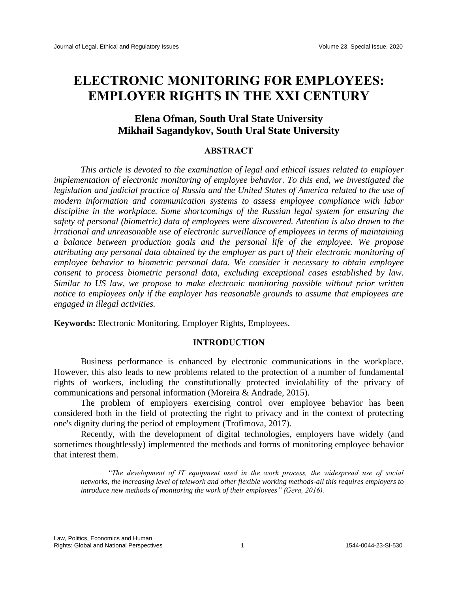# **ELECTRONIC MONITORING FOR EMPLOYEES: EMPLOYER RIGHTS IN THE XXI CENTURY**

# **Elena Ofman, South Ural State University Mikhail Sagandykov, South Ural State University**

# **ABSTRACT**

*This article is devoted to the examination of legal and ethical issues related to employer implementation of electronic monitoring of employee behavior. To this end, we investigated the legislation and judicial practice of Russia and the United States of America related to the use of modern information and communication systems to assess employee compliance with labor discipline in the workplace. Some shortcomings of the Russian legal system for ensuring the safety of personal (biometric) data of employees were discovered. Attention is also drawn to the irrational and unreasonable use of electronic surveillance of employees in terms of maintaining a balance between production goals and the personal life of the employee. We propose attributing any personal data obtained by the employer as part of their electronic monitoring of employee behavior to biometric personal data. We consider it necessary to obtain employee consent to process biometric personal data, excluding exceptional cases established by law. Similar to US law, we propose to make electronic monitoring possible without prior written notice to employees only if the employer has reasonable grounds to assume that employees are engaged in illegal activities.*

**Keywords:** Electronic Monitoring, Employer Rights, Employees.

### **INTRODUCTION**

Business performance is enhanced by electronic communications in the workplace. However, this also leads to new problems related to the protection of a number of fundamental rights of workers, including the constitutionally protected inviolability of the privacy of communications and personal information (Moreira & Andrade, 2015).

The problem of employers exercising control over employee behavior has been considered both in the field of protecting the right to privacy and in the context of protecting one's dignity during the period of employment (Trofimova, 2017).

Recently, with the development of digital technologies, employers have widely (and sometimes thoughtlessly) implemented the methods and forms of monitoring employee behavior that interest them.

*"The development of IT equipment used in the work process, the widespread use of social networks, the increasing level of telework and other flexible working methods-all this requires employers to introduce new methods of monitoring the work of their employees" (Gera, 2016).*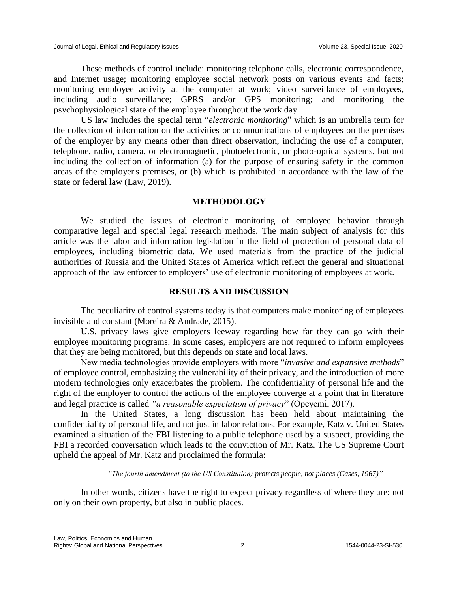These methods of control include: monitoring telephone calls, electronic correspondence, and Internet usage; monitoring employee social network posts on various events and facts; monitoring employee activity at the computer at work; video surveillance of employees, including audio surveillance; GPRS and/or GPS monitoring; and monitoring the psychophysiological state of the employee throughout the work day.

US law includes the special term "*electronic monitoring*" which is an umbrella term for the collection of information on the activities or communications of employees on the premises of the employer by any means other than direct observation, including the use of a computer, telephone, radio, camera, or electromagnetic, photoelectronic, or photo-optical systems, but not including the collection of information (a) for the purpose of ensuring safety in the common areas of the employer's premises, or (b) which is prohibited in accordance with the law of the state or federal law (Law, 2019).

#### **METHODOLOGY**

We studied the issues of electronic monitoring of employee behavior through comparative legal and special legal research methods. The main subject of analysis for this article was the labor and information legislation in the field of protection of personal data of employees, including biometric data. We used materials from the practice of the judicial authorities of Russia and the United States of America which reflect the general and situational approach of the law enforcer to employers' use of electronic monitoring of employees at work.

# **RESULTS AND DISCUSSION**

The peculiarity of control systems today is that computers make monitoring of employees invisible and constant (Moreira & Andrade, 2015).

U.S. privacy laws give employers leeway regarding how far they can go with their employee monitoring programs. In some cases, employers are not required to inform employees that they are being monitored, but this depends on state and local laws.

New media technologies provide employers with more "*invasive and expansive methods*" of employee control, emphasizing the vulnerability of their privacy, and the introduction of more modern technologies only exacerbates the problem. The confidentiality of personal life and the right of the employer to control the actions of the employee converge at a point that in literature and legal practice is called *"a reasonable expectation of privacy*" (Opeyemi, 2017).

In the United States, a long discussion has been held about maintaining the confidentiality of personal life, and not just in labor relations. For example, Katz v. United States examined a situation of the FBI listening to a public telephone used by a suspect, providing the FBI a recorded conversation which leads to the conviction of Mr. Katz. The US Supreme Court upheld the appeal of Mr. Katz and proclaimed the formula:

*"The fourth amendment (to the US Constitution) protects people, not places (Cases, 1967)"*

In other words, citizens have the right to expect privacy regardless of where they are: not only on their own property, but also in public places.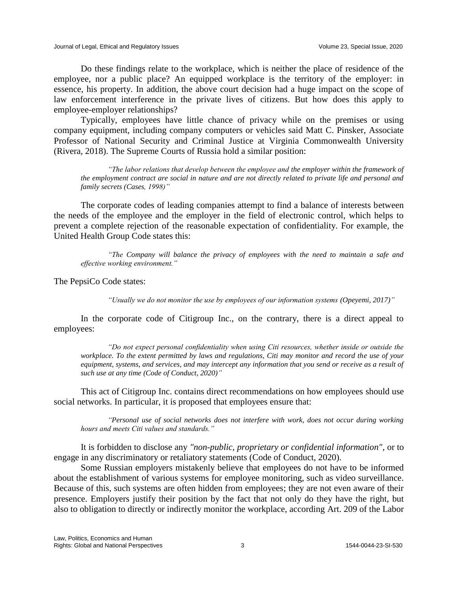Do these findings relate to the workplace, which is neither the place of residence of the employee, nor a public place? An equipped workplace is the territory of the employer: in essence, his property. In addition, the above court decision had a huge impact on the scope of law enforcement interference in the private lives of citizens. But how does this apply to employee-employer relationships?

Typically, employees have little chance of privacy while on the premises or using company equipment, including company computers or vehicles said Matt C. Pinsker, Associate Professor of National Security and Criminal Justice at Virginia Commonwealth University (Rivera, 2018). The Supreme Courts of Russia hold a similar position:

*"The labor relations that develop between the employee and the employer within the framework of the employment contract are social in nature and are not directly related to private life and personal and family secrets (Cases, 1998)"*

The corporate codes of leading companies attempt to find a balance of interests between the needs of the employee and the employer in the field of electronic control, which helps to prevent a complete rejection of the reasonable expectation of confidentiality. For example, the United Health Group Code states this:

*"The Company will balance the privacy of employees with the need to maintain a safe and effective working environment."* 

The PepsiCo Code states:

*"Usually we do not monitor the use by employees of our information systems (Opeyemi, 2017)"*

In the corporate code of Citigroup Inc., on the contrary, there is a direct appeal to employees:

*"Do not expect personal confidentiality when using Citi resources, whether inside or outside the workplace. To the extent permitted by laws and regulations, Citi may monitor and record the use of your equipment, systems, and services, and may intercept any information that you send or receive as a result of such use at any time (Code of Conduct, 2020)"*

This act of Citigroup Inc. contains direct recommendations on how employees should use social networks. In particular, it is proposed that employees ensure that:

*"Personal use of social networks does not interfere with work, does not occur during working hours and meets Citi values and standards."*

It is forbidden to disclose any *"non-public, proprietary or confidential information",* or to engage in any discriminatory or retaliatory statements (Code of Conduct, 2020).

Some Russian employers mistakenly believe that employees do not have to be informed about the establishment of various systems for employee monitoring, such as video surveillance. Because of this, such systems are often hidden from employees; they are not even aware of their presence. Employers justify their position by the fact that not only do they have the right, but also to obligation to directly or indirectly monitor the workplace, according Art. 209 of the Labor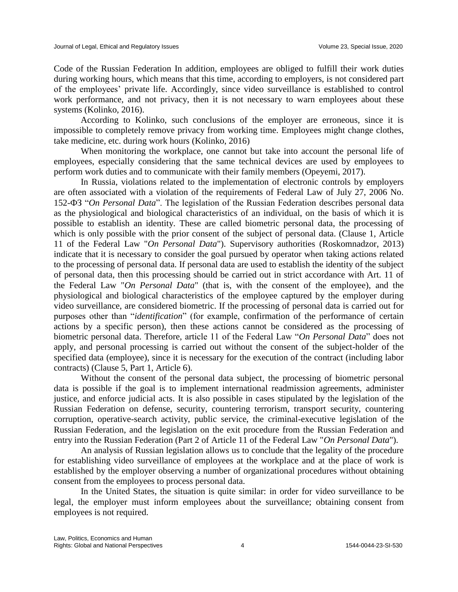Code of the Russian Federation In addition, employees are obliged to fulfill their work duties during working hours, which means that this time, according to employers, is not considered part of the employees' private life. Accordingly, since video surveillance is established to control work performance, and not privacy, then it is not necessary to warn employees about these systems (Kolinko, 2016).

According to Kolinko, such conclusions of the employer are erroneous, since it is impossible to completely remove privacy from working time. Employees might change clothes, take medicine, etc. during work hours (Kolinko, 2016)

When monitoring the workplace, one cannot but take into account the personal life of employees, especially considering that the same technical devices are used by employees to perform work duties and to communicate with their family members (Opeyemi, 2017).

In Russia, violations related to the implementation of electronic controls by employers are often associated with a violation of the requirements of Federal Law of July 27, 2006 No. 152-ФЗ "*On Personal Data*". The legislation of the Russian Federation describes personal data as the physiological and biological characteristics of an individual, on the basis of which it is possible to establish an identity. These are called biometric personal data, the processing of which is only possible with the prior consent of the subject of personal data. (Clause 1, Article 11 of the Federal Law "*On Personal Data*"). Supervisory authorities (Roskomnadzor, 2013) indicate that it is necessary to consider the goal pursued by operator when taking actions related to the processing of personal data. If personal data are used to establish the identity of the subject of personal data, then this processing should be carried out in strict accordance with Art. 11 of the Federal Law "*On Personal Data*" (that is, with the consent of the employee), and the physiological and biological characteristics of the employee captured by the employer during video surveillance, are considered biometric. If the processing of personal data is carried out for purposes other than "*identification*" (for example, confirmation of the performance of certain actions by a specific person), then these actions cannot be considered as the processing of biometric personal data. Therefore, article 11 of the Federal Law "*On Personal Data*" does not apply, and personal processing is carried out without the consent of the subject-holder of the specified data (employee), since it is necessary for the execution of the contract (including labor contracts) (Clause 5, Part 1, Article 6).

Without the consent of the personal data subject, the processing of biometric personal data is possible if the goal is to implement international readmission agreements, administer justice, and enforce judicial acts. It is also possible in cases stipulated by the legislation of the Russian Federation on defense, security, countering terrorism, transport security, countering corruption, operative-search activity, public service, the criminal-executive legislation of the Russian Federation, and the legislation on the exit procedure from the Russian Federation and entry into the Russian Federation (Part 2 of Article 11 of the Federal Law "*On Personal Data*").

An analysis of Russian legislation allows us to conclude that the legality of the procedure for establishing video surveillance of employees at the workplace and at the place of work is established by the employer observing a number of organizational procedures without obtaining consent from the employees to process personal data.

In the United States, the situation is quite similar: in order for video surveillance to be legal, the employer must inform employees about the surveillance; obtaining consent from employees is not required.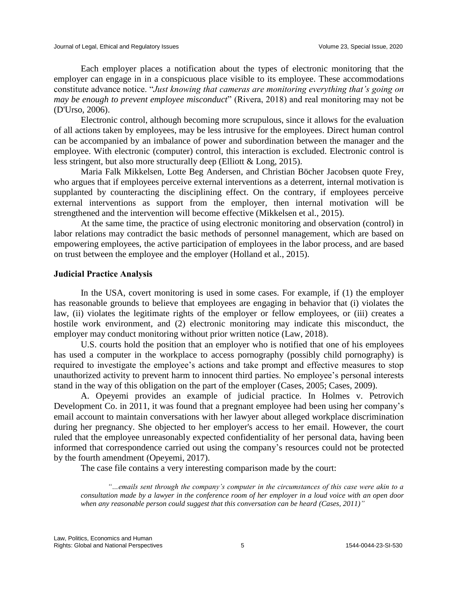Each employer places a notification about the types of electronic monitoring that the employer can engage in in a conspicuous place visible to its employee. These accommodations constitute advance notice. "*Just knowing that cameras are monitoring everything that's going on may be enough to prevent employee misconduct*" (Rivera, 2018) and real monitoring may not be (D'Urso, 2006).

Electronic control, although becoming more scrupulous, since it allows for the evaluation of all actions taken by employees, may be less intrusive for the employees. Direct human control can be accompanied by an imbalance of power and subordination between the manager and the employee. With electronic (computer) control, this interaction is excluded. Electronic control is less stringent, but also more structurally deep (Elliott & Long, 2015).

Maria Falk Mikkelsen, Lotte Beg Andersen, and Christian Böcher Jacobsen quote Frey, who argues that if employees perceive external interventions as a deterrent, internal motivation is supplanted by counteracting the disciplining effect. On the contrary, if employees perceive external interventions as support from the employer, then internal motivation will be strengthened and the intervention will become effective (Mikkelsen et al., 2015).

At the same time, the practice of using electronic monitoring and observation (control) in labor relations may contradict the basic methods of personnel management, which are based on empowering employees, the active participation of employees in the labor process, and are based on trust between the employee and the employer (Holland et al., 2015).

#### **Judicial Practice Analysis**

In the USA, covert monitoring is used in some cases. For example, if (1) the employer has reasonable grounds to believe that employees are engaging in behavior that (i) violates the law, (ii) violates the legitimate rights of the employer or fellow employees, or (iii) creates a hostile work environment, and (2) electronic monitoring may indicate this misconduct, the employer may conduct monitoring without prior written notice (Law, 2018).

U.S. courts hold the position that an employer who is notified that one of his employees has used a computer in the workplace to access pornography (possibly child pornography) is required to investigate the employee's actions and take prompt and effective measures to stop unauthorized activity to prevent harm to innocent third parties. No employee's personal interests stand in the way of this obligation on the part of the employer (Cases, 2005; Cases, 2009).

A. Opeyemi provides an example of judicial practice. In Holmes v. Petrovich Development Co. in 2011, it was found that a pregnant employee had been using her company's email account to maintain conversations with her lawyer about alleged workplace discrimination during her pregnancy. She objected to her employer's access to her email. However, the court ruled that the employee unreasonably expected confidentiality of her personal data, having been informed that correspondence carried out using the company's resources could not be protected by the fourth amendment (Opeyemi, 2017).

The case file contains a very interesting comparison made by the court:

*"…emails sent through the company's computer in the circumstances of this case were akin to a consultation made by a lawyer in the conference room of her employer in a loud voice with an open door when any reasonable person could suggest that this conversation can be heard (Cases, 2011)"*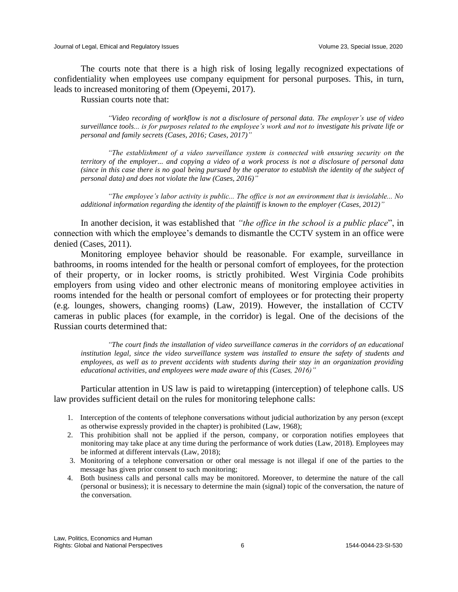The courts note that there is a high risk of losing legally recognized expectations of confidentiality when employees use company equipment for personal purposes. This, in turn, leads to increased monitoring of them (Opeyemi, 2017).

Russian courts note that:

*"Video recording of workflow is not a disclosure of personal data. The employer's use of video surveillance tools... is for purposes related to the employee's work and not to investigate his private life or personal and family secrets (Cases, 2016; Cases, 2017)"*

*"The establishment of a video surveillance system is connected with ensuring security on the territory of the employer... and copying a video of a work process is not a disclosure of personal data (since in this case there is no goal being pursued by the operator to establish the identity of the subject of personal data) and does not violate the law (Cases, 2016)"*

*"The employee's labor activity is public... The office is not an environment that is inviolable... No additional information regarding the identity of the plaintiff is known to the employer (Cases, 2012)"*

In another decision, it was established that *"the office in the school is a public place*", in connection with which the employee's demands to dismantle the CCTV system in an office were denied (Cases, 2011).

Monitoring employee behavior should be reasonable. For example, surveillance in bathrooms, in rooms intended for the health or personal comfort of employees, for the protection of their property, or in locker rooms, is strictly prohibited. West Virginia Code prohibits employers from using video and other electronic means of monitoring employee activities in rooms intended for the health or personal comfort of employees or for protecting their property (e.g. lounges, showers, changing rooms) (Law, 2019). However, the installation of CCTV cameras in public places (for example, in the corridor) is legal. One of the decisions of the Russian courts determined that:

*"The court finds the installation of video surveillance cameras in the corridors of an educational institution legal, since the video surveillance system was installed to ensure the safety of students and employees, as well as to prevent accidents with students during their stay in an organization providing educational activities, and employees were made aware of this (Cases, 2016)"*

Particular attention in US law is paid to wiretapping (interception) of telephone calls. US law provides sufficient detail on the rules for monitoring telephone calls:

- 1. Interception of the contents of telephone conversations without judicial authorization by any person (except as otherwise expressly provided in the chapter) is prohibited (Law, 1968);
- 2. This prohibition shall not be applied if the person, company, or corporation notifies employees that monitoring may take place at any time during the performance of work duties (Law, 2018). Employees may be informed at different intervals (Law, 2018);
- 3. Monitoring of a telephone conversation or other oral message is not illegal if one of the parties to the message has given prior consent to such monitoring;
- 4. Both business calls and personal calls may be monitored. Moreover, to determine the nature of the call (personal or business); it is necessary to determine the main (signal) topic of the conversation, the nature of the conversation.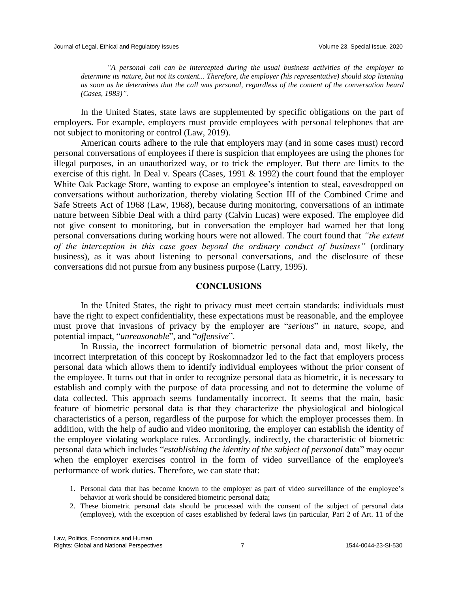*"A personal call can be intercepted during the usual business activities of the employer to determine its nature, but not its content... Therefore, the employer (his representative) should stop listening as soon as he determines that the call was personal, regardless of the content of the conversation heard (Cases, 1983)".*

In the United States, state laws are supplemented by specific obligations on the part of employers. For example, employers must provide employees with personal telephones that are not subject to monitoring or control (Law, 2019).

American courts adhere to the rule that employers may (and in some cases must) record personal conversations of employees if there is suspicion that employees are using the phones for illegal purposes, in an unauthorized way, or to trick the employer. But there are limits to the exercise of this right. In Deal v. Spears (Cases, 1991 & 1992) the court found that the employer White Oak Package Store, wanting to expose an employee's intention to steal, eavesdropped on conversations without authorization, thereby violating Section III of the Combined Crime and Safe Streets Act of 1968 (Law, 1968), because during monitoring, conversations of an intimate nature between Sibbie Deal with a third party (Calvin Lucas) were exposed. The employee did not give consent to monitoring, but in conversation the employer had warned her that long personal conversations during working hours were not allowed. The court found that *"the extent of the interception in this case goes beyond the ordinary conduct of business"* (ordinary business), as it was about listening to personal conversations, and the disclosure of these conversations did not pursue from any business purpose (Larry, 1995).

#### **CONCLUSIONS**

In the United States, the right to privacy must meet certain standards: individuals must have the right to expect confidentiality, these expectations must be reasonable, and the employee must prove that invasions of privacy by the employer are "*serious*" in nature, scope, and potential impact, "*unreasonable*", and "*offensive*".

In Russia, the incorrect formulation of biometric personal data and, most likely, the incorrect interpretation of this concept by Roskomnadzor led to the fact that employers process personal data which allows them to identify individual employees without the prior consent of the employee. It turns out that in order to recognize personal data as biometric, it is necessary to establish and comply with the purpose of data processing and not to determine the volume of data collected. This approach seems fundamentally incorrect. It seems that the main, basic feature of biometric personal data is that they characterize the physiological and biological characteristics of a person, regardless of the purpose for which the employer processes them. In addition, with the help of audio and video monitoring, the employer can establish the identity of the employee violating workplace rules. Accordingly, indirectly, the characteristic of biometric personal data which includes "*establishing the identity of the subject of personal* data" may occur when the employer exercises control in the form of video surveillance of the employee's performance of work duties. Therefore, we can state that:

- 1. Personal data that has become known to the employer as part of video surveillance of the employee's behavior at work should be considered biometric personal data;
- 2. These biometric personal data should be processed with the consent of the subject of personal data (employee), with the exception of cases established by federal laws (in particular, Part 2 of Art. 11 of the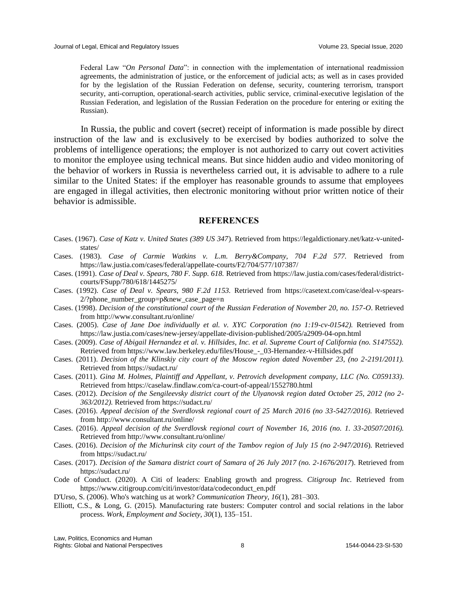Federal Law "*On Personal Data*": in connection with the implementation of international readmission agreements, the administration of justice, or the enforcement of judicial acts; as well as in cases provided for by the legislation of the Russian Federation on defense, security, countering terrorism, transport security, anti-corruption, operational-search activities, public service, criminal-executive legislation of the Russian Federation, and legislation of the Russian Federation on the procedure for entering or exiting the Russian).

In Russia, the public and covert (secret) receipt of information is made possible by direct instruction of the law and is exclusively to be exercised by bodies authorized to solve the problems of intelligence operations; the employer is not authorized to carry out covert activities to monitor the employee using technical means. But since hidden audio and video monitoring of the behavior of workers in Russia is nevertheless carried out, it is advisable to adhere to a rule similar to the United States: if the employer has reasonable grounds to assume that employees are engaged in illegal activities, then electronic monitoring without prior written notice of their behavior is admissible.

#### **REFERENCES**

- Cases. (1967). *Case of Katz v. United States (389 US 347*). Retrieved from https://legaldictionary.net/katz-v-unitedstates/
- Cases. (1983). *Case of Carmie Watkins v. L.m. Berry&Company, 704 F.2d 577.* Retrieved from https://law.justia.com/cases/federal/appellate-courts/F2/704/577/107387/
- Cases. (1991). *Case of Deal v. Spears, 780 F. Supp. 618.* Retrieved from https://law.justia.com/cases/federal/districtcourts/FSupp/780/618/1445275/
- Cases. (1992). *Case of Deal v. Spears, 980 F.2d 1153.* Retrieved from https://casetext.com/case/deal-v-spears-2/?phone\_number\_group=p&new\_case\_page=n
- Cases. (1998). *Decision of the constitutional court of the Russian Federation of November 20, no. 157-O*. Retrieved from http://www.consultant.ru/online/
- Cases. (2005). *Case of Jane Doe individually et al. v. XYC Corporation (no 1:19-cv-01542).* Retrieved from https://law.justia.com/cases/new-jersey/appellate-division-published/2005/a2909-04-opn.html
- Cases. (2009). *Case of Abigail Hernandez et al. v. Hillsides, Inc. et al. Supreme Court of California (no. S147552).*  Retrieved from https://www.law.berkeley.edu/files/House\_-\_03-Hernandez-v-Hillsides.pdf
- Cases. (2011). *Decision of the Klinskiy city court of the Moscow region dated November 23, (no 2-2191/2011).* Retrieved from https://sudact.ru/
- Cases. (2011). *Gina M. Holmes, Plaintiff and Appellant, v. Petrovich development company, LLC (No. C059133)*. Retrieved from https://caselaw.findlaw.com/ca-court-of-appeal/1552780.html
- Cases. (2012). *Decision of the Sengileevsky district court of the Ulyanovsk region dated October 25, 2012 (no 2- 363/2012).* Retrieved from https://sudact.ru/
- Cases. (2016). *Appeal decision of the Sverdlovsk regional court of 25 March 2016 (no 33-5427/2016).* Retrieved from http://www.consultant.ru/online/
- Cases. (2016). *Appeal decision of the Sverdlovsk regional court of November 16, 2016 (no. 1. 33-20507/2016).* Retrieved from http://www.consultant.ru/online/
- Cases. (2016). *Decision of the Michurinsk city court of the Tambov region of July 15 (no 2-947/2016*). Retrieved from https://sudact.ru/
- Cases. (2017). *Decision of the Samara district court of Samara of 26 July 2017 (no. 2-1676/2017*). Retrieved from https://sudact.ru/
- Code of Conduct. (2020). A Citi of leaders: Enabling growth and progress. *Citigroup Inc.* Retrieved from https://www.citigroup.com/citi/investor/data/codeconduct\_en.pdf
- D'Urso, S. (2006). Who's watching us at work? *Communication Theory, 16*(1), 281–303.
- Elliott, C.S., & Long, G. (2015). Manufacturing rate busters: Computer control and social relations in the labor process. *Work, Employment and Society, 30*(1), 135–151.